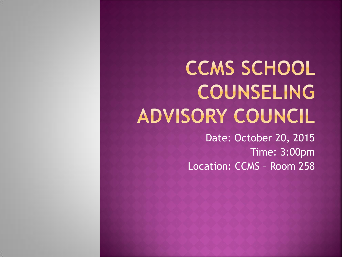# **CCMS SCHOOL** COUNSELING ADVISORY COUNCIL

Date: October 20, 2015 Time: 3:00pm Location: CCMS – Room 258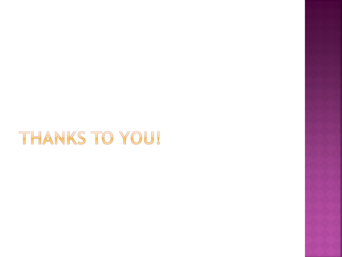# THANKS TO YOU!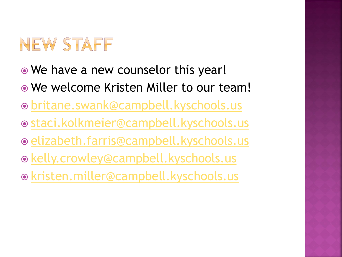# NEW STAFF

- We have a new counselor this year!
- We welcome Kristen Miller to our team!
- [britane.swank@campbell.kyschools.us](mailto:britane.swank@campbell.kyschools.us)
- [staci.kolkmeier@campbell.kyschools.us](mailto:staci.kolkmeier@campbell.kyschools.us)
- $\odot$  **[elizabeth.farris@campbell.kyschools.us](mailto:elizabeth.farris@campbell.kyschools.us)**
- [kelly.crowley@campbell.kyschools.us](mailto:Kelly.crowley@campbell.kyschools.us)
- [kristen.miller@campbell.kyschools.us](mailto:kristen.miller@campbell.kyschools.us)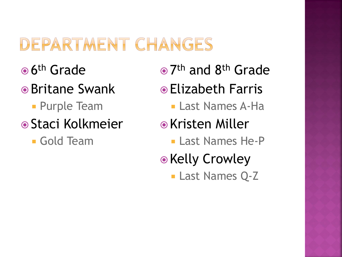## DEPARTMENT CHANGES

- <sup>● 6th</sup> Grade
- **•** Britane Swank
	- **Purple Team**
- **Staci Kolkmeier** 
	- Gold Team
- 7<sup>th</sup> and 8<sup>th</sup> Grade
- Elizabeth Farris
	- Last Names A-Ha
- Kristen Miller
	- **Last Names He-P**
- Kelly Crowley
	- **Last Names Q-Z**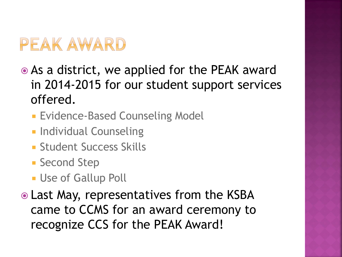## PEAK AWARD

- As a district, we applied for the PEAK award in 2014-2015 for our student support services offered.
	- **Evidence-Based Counseling Model**
	- **Individual Counseling**
	- **Student Success Skills**
	- **Second Step**
	- **Use of Gallup Poll**
- Last May, representatives from the KSBA came to CCMS for an award ceremony to recognize CCS for the PEAK Award!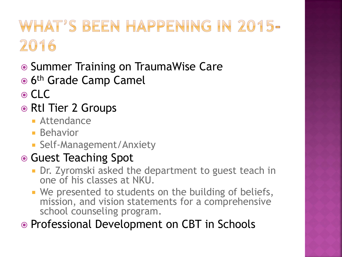# WHAT'S BEEN HAPPENING IN 2015-2016

- **Summer Training on TraumaWise Care**
- <sup>● 6th</sup> Grade Camp Camel
- ⊙ CLC
- RtI Tier 2 Groups
	- **Attendance**
	- **Behavior**
	- **Self-Management/Anxiety**

#### ● Guest Teaching Spot

- **Dr.** Zyromski asked the department to guest teach in one of his classes at NKU.
- **We presented to students on the building of beliefs,** mission, and vision statements for a comprehensive school counseling program.

• Professional Development on CBT in Schools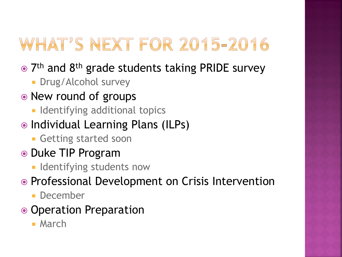# WHAT'S NEXT FOR 2015-2016

- 7<sup>th</sup> and 8<sup>th</sup> grade students taking PRIDE survey
	- **Drug/Alcohol survey**
- New round of groups
	- **Indentifying additional topics**
- Individual Learning Plans (ILPs)
	- **Getting started soon**
- Duke TIP Program
	- **Indentifying students now**
- Professional Development on Crisis Intervention
	- December
- Operation Preparation
	- **March**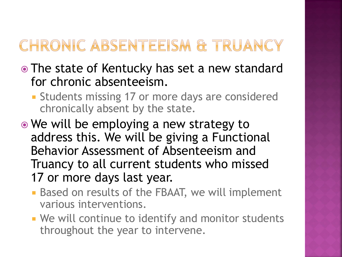### CHRONIC ABSENTEEISM & TRUANCY

- The state of Kentucky has set a new standard for chronic absenteeism.
	- **Students missing 17 or more days are considered** chronically absent by the state.
- We will be employing a new strategy to address this. We will be giving a Functional Behavior Assessment of Absenteeism and Truancy to all current students who missed 17 or more days last year.
	- **Based on results of the FBAAT, we will implement** various interventions.
	- **We will continue to identify and monitor students** throughout the year to intervene.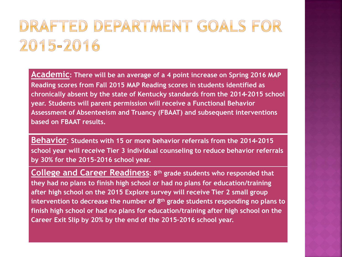### DRAFTED DEPARTMENT GOALS FOR 2015-2016

**Academic: There will be an average of a 4 point increase on Spring 2016 MAP Reading scores from Fall 2015 MAP Reading scores in students identified as chronically absent by the state of Kentucky standards from the 2014-2015 school year. Students will parent permission will receive a Functional Behavior Assessment of Absenteeism and Truancy (FBAAT) and subsequent interventions based on FBAAT results.**

**Behavior: Students with 15 or more behavior referrals from the 2014-2015 school year will receive Tier 3 individual counseling to reduce behavior referrals by 30% for the 2015-2016 school year.**

**College and Career Readiness: 8th grade students who responded that they had no plans to finish high school or had no plans for education/training after high school on the 2015 Explore survey will receive Tier 2 small group intervention to decrease the number of 8th grade students responding no plans to finish high school or had no plans for education/training after high school on the Career Exit Slip by 20% by the end of the 2015-2016 school year.**